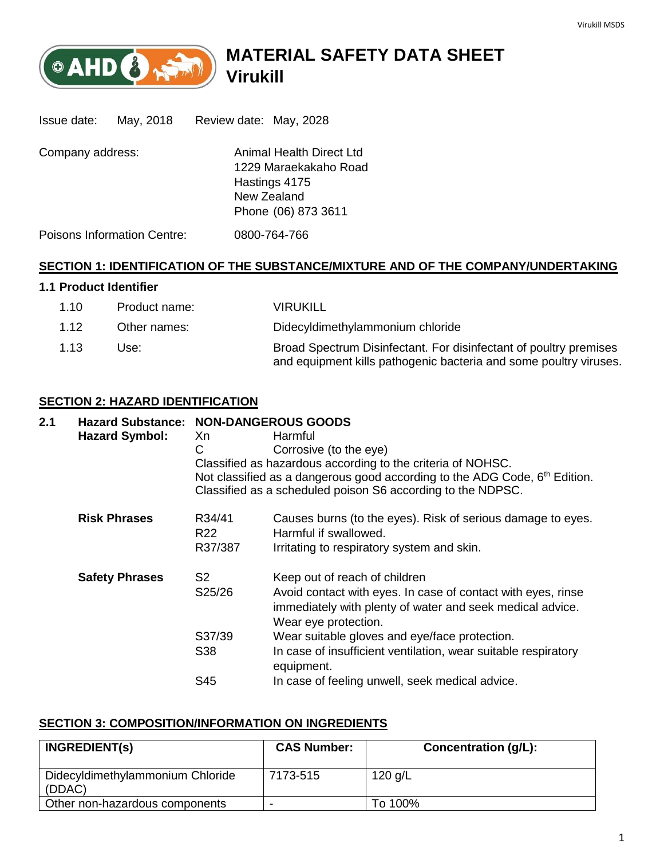

# **MATERIAL SAFETY DATA SHEET Virukill**

| Issue date:      | May, 2018                          | Review date: May, 2028                                                                                   |  |
|------------------|------------------------------------|----------------------------------------------------------------------------------------------------------|--|
| Company address: |                                    | Animal Health Direct Ltd<br>1229 Maraekakaho Road<br>Hastings 4175<br>New Zealand<br>Phone (06) 873 3611 |  |
|                  | <b>Poisons Information Centre:</b> | 0800-764-766                                                                                             |  |

### **SECTION 1: IDENTIFICATION OF THE SUBSTANCE/MIXTURE AND OF THE COMPANY/UNDERTAKING**

### **1.1 Product Identifier**

| 1.10 | Product name: | <b>VIRUKILL</b>                                                                                                                        |
|------|---------------|----------------------------------------------------------------------------------------------------------------------------------------|
| 1.12 | Other names:  | Didecyldimethylammonium chloride                                                                                                       |
| 1.13 | Use:          | Broad Spectrum Disinfectant. For disinfectant of poultry premises<br>and equipment kills pathogenic bacteria and some poultry viruses. |

### **SECTION 2: HAZARD IDENTIFICATION**

## **2.1 Hazard Substance: NON-DANGEROUS GOODS** Hazard Symbol: Xn Harmful C Corrosive (to the eye) Classified as hazardous according to the criteria of NOHSC. Not classified as a dangerous good according to the ADG Code,  $6<sup>th</sup>$  Edition. Classified as a scheduled poison S6 according to the NDPSC. **Risk Phrases** R34/41 Causes burns (to the eyes). Risk of serious damage to eyes. R22 Harmful if swallowed. R37/387 Irritating to respiratory system and skin. **Safety Phrases** S2 Keep out of reach of children S25/26 Avoid contact with eyes. In case of contact with eyes, rinse immediately with plenty of water and seek medical advice. Wear eye protection. S37/39 Wear suitable gloves and eye/face protection. S38 In case of insufficient ventilation, wear suitable respiratory equipment. S45 In case of feeling unwell, seek medical advice.

### **SECTION 3: COMPOSITION/INFORMATION ON INGREDIENTS**

| <b>INGREDIENT(S)</b>                       | <b>CAS Number:</b> | Concentration (g/L): |
|--------------------------------------------|--------------------|----------------------|
| Didecyldimethylammonium Chloride<br>(DDAC) | 7173-515           | 120 g/L              |
| Other non-hazardous components             | -                  | To 100%              |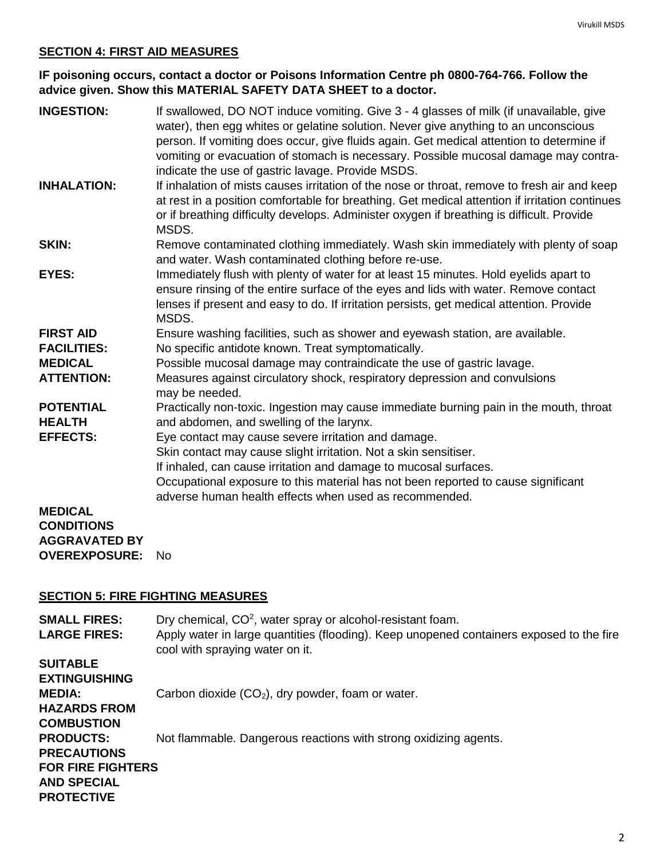### **SECTION 4: FIRST AID MEASURES**

### **IF poisoning occurs, contact a doctor or Poisons Information Centre ph 0800-764-766. Follow the advice given. Show this MATERIAL SAFETY DATA SHEET to a doctor.**

| <b>INGESTION:</b>                 | If swallowed, DO NOT induce vomiting. Give 3 - 4 glasses of milk (if unavailable, give<br>water), then egg whites or gelatine solution. Never give anything to an unconscious<br>person. If vomiting does occur, give fluids again. Get medical attention to determine if<br>vomiting or evacuation of stomach is necessary. Possible mucosal damage may contra-<br>indicate the use of gastric lavage. Provide MSDS. |
|-----------------------------------|-----------------------------------------------------------------------------------------------------------------------------------------------------------------------------------------------------------------------------------------------------------------------------------------------------------------------------------------------------------------------------------------------------------------------|
| <b>INHALATION:</b>                | If inhalation of mists causes irritation of the nose or throat, remove to fresh air and keep<br>at rest in a position comfortable for breathing. Get medical attention if irritation continues<br>or if breathing difficulty develops. Administer oxygen if breathing is difficult. Provide<br>MSDS.                                                                                                                  |
| <b>SKIN:</b>                      | Remove contaminated clothing immediately. Wash skin immediately with plenty of soap<br>and water. Wash contaminated clothing before re-use.                                                                                                                                                                                                                                                                           |
| <b>EYES:</b>                      | Immediately flush with plenty of water for at least 15 minutes. Hold eyelids apart to<br>ensure rinsing of the entire surface of the eyes and lids with water. Remove contact<br>lenses if present and easy to do. If irritation persists, get medical attention. Provide<br>MSDS.                                                                                                                                    |
| <b>FIRST AID</b>                  | Ensure washing facilities, such as shower and eyewash station, are available.                                                                                                                                                                                                                                                                                                                                         |
| <b>FACILITIES:</b>                | No specific antidote known. Treat symptomatically.                                                                                                                                                                                                                                                                                                                                                                    |
| <b>MEDICAL</b>                    | Possible mucosal damage may contraindicate the use of gastric lavage.                                                                                                                                                                                                                                                                                                                                                 |
| <b>ATTENTION:</b>                 | Measures against circulatory shock, respiratory depression and convulsions<br>may be needed.                                                                                                                                                                                                                                                                                                                          |
| <b>POTENTIAL</b><br><b>HEALTH</b> | Practically non-toxic. Ingestion may cause immediate burning pain in the mouth, throat<br>and abdomen, and swelling of the larynx.                                                                                                                                                                                                                                                                                    |
| <b>EFFECTS:</b>                   | Eye contact may cause severe irritation and damage.                                                                                                                                                                                                                                                                                                                                                                   |
|                                   | Skin contact may cause slight irritation. Not a skin sensitiser.                                                                                                                                                                                                                                                                                                                                                      |
|                                   | If inhaled, can cause irritation and damage to mucosal surfaces.                                                                                                                                                                                                                                                                                                                                                      |
|                                   | Occupational exposure to this material has not been reported to cause significant                                                                                                                                                                                                                                                                                                                                     |
|                                   | adverse human health effects when used as recommended.                                                                                                                                                                                                                                                                                                                                                                |
| <b>MEDICAL</b>                    |                                                                                                                                                                                                                                                                                                                                                                                                                       |
| <b>CONDITIONS</b>                 |                                                                                                                                                                                                                                                                                                                                                                                                                       |
| <b>AGGRAVATED BY</b>              |                                                                                                                                                                                                                                                                                                                                                                                                                       |
| <b>OVEREXPOSURE:</b>              | <b>No</b>                                                                                                                                                                                                                                                                                                                                                                                                             |

### **SECTION 5: FIRE FIGHTING MEASURES**

| <b>SMALL FIRES:</b><br><b>LARGE FIRES:</b> | Dry chemical, $CO2$ , water spray or alcohol-resistant foam.<br>Apply water in large quantities (flooding). Keep unopened containers exposed to the fire<br>cool with spraying water on it. |
|--------------------------------------------|---------------------------------------------------------------------------------------------------------------------------------------------------------------------------------------------|
| <b>SUITABLE</b>                            |                                                                                                                                                                                             |
| <b>EXTINGUISHING</b>                       |                                                                                                                                                                                             |
| <b>MEDIA:</b>                              | Carbon dioxide $(CO2)$ , dry powder, foam or water.                                                                                                                                         |
| <b>HAZARDS FROM</b>                        |                                                                                                                                                                                             |
| <b>COMBUSTION</b>                          |                                                                                                                                                                                             |
| <b>PRODUCTS:</b>                           | Not flammable. Dangerous reactions with strong oxidizing agents.                                                                                                                            |
| <b>PRECAUTIONS</b>                         |                                                                                                                                                                                             |
| <b>FOR FIRE FIGHTERS</b>                   |                                                                                                                                                                                             |
| <b>AND SPECIAL</b>                         |                                                                                                                                                                                             |
| <b>PROTECTIVE</b>                          |                                                                                                                                                                                             |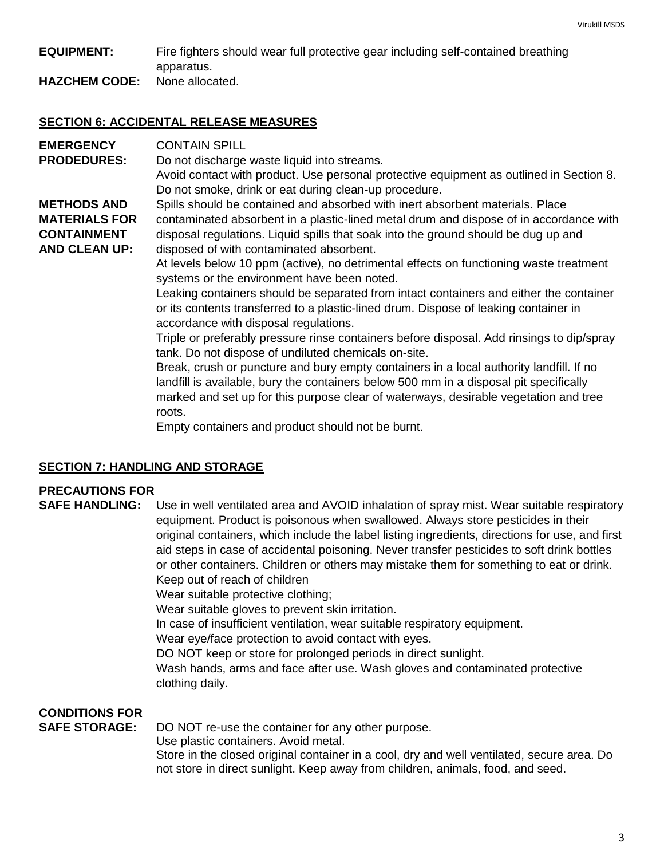### **EQUIPMENT:** Fire fighters should wear full protective gear including self-contained breathing apparatus.

**HAZCHEM CODE:** None allocated.

### **SECTION 6: ACCIDENTAL RELEASE MEASURES**

| <b>EMERGENCY</b>     | <b>CONTAIN SPILL</b>                                                                                                                                                                                                                                                                |
|----------------------|-------------------------------------------------------------------------------------------------------------------------------------------------------------------------------------------------------------------------------------------------------------------------------------|
| <b>PRODEDURES:</b>   | Do not discharge waste liquid into streams.                                                                                                                                                                                                                                         |
|                      | Avoid contact with product. Use personal protective equipment as outlined in Section 8.<br>Do not smoke, drink or eat during clean-up procedure.                                                                                                                                    |
| <b>METHODS AND</b>   | Spills should be contained and absorbed with inert absorbent materials. Place                                                                                                                                                                                                       |
| <b>MATERIALS FOR</b> | contaminated absorbent in a plastic-lined metal drum and dispose of in accordance with                                                                                                                                                                                              |
| <b>CONTAINMENT</b>   | disposal regulations. Liquid spills that soak into the ground should be dug up and                                                                                                                                                                                                  |
| <b>AND CLEAN UP:</b> | disposed of with contaminated absorbent.                                                                                                                                                                                                                                            |
|                      | At levels below 10 ppm (active), no detrimental effects on functioning waste treatment<br>systems or the environment have been noted.                                                                                                                                               |
|                      | Leaking containers should be separated from intact containers and either the container<br>or its contents transferred to a plastic-lined drum. Dispose of leaking container in<br>accordance with disposal regulations.                                                             |
|                      | Triple or preferably pressure rinse containers before disposal. Add rinsings to dip/spray<br>tank. Do not dispose of undiluted chemicals on-site.                                                                                                                                   |
|                      | Break, crush or puncture and bury empty containers in a local authority landfill. If no<br>landfill is available, bury the containers below 500 mm in a disposal pit specifically<br>marked and set up for this purpose clear of waterways, desirable vegetation and tree<br>roots. |
|                      | Empty containers and product should not be burnt.                                                                                                                                                                                                                                   |

### **SECTION 7: HANDLING AND STORAGE**

## **PRECAUTIONS FOR**

**SAFE HANDLING:** Use in well ventilated area and AVOID inhalation of spray mist. Wear suitable respiratory equipment. Product is poisonous when swallowed. Always store pesticides in their original containers, which include the label listing ingredients, directions for use, and first aid steps in case of accidental poisoning. Never transfer pesticides to soft drink bottles or other containers. Children or others may mistake them for something to eat or drink. Keep out of reach of children

Wear suitable protective clothing;

Wear suitable gloves to prevent skin irritation.

In case of insufficient ventilation, wear suitable respiratory equipment.

Wear eye/face protection to avoid contact with eyes.

DO NOT keep or store for prolonged periods in direct sunlight.

Wash hands, arms and face after use. Wash gloves and contaminated protective clothing daily.

## **CONDITIONS FOR**

**SAFE STORAGE:** DO NOT re-use the container for any other purpose.

Use plastic containers. Avoid metal.

Store in the closed original container in a cool, dry and well ventilated, secure area. Do not store in direct sunlight. Keep away from children, animals, food, and seed.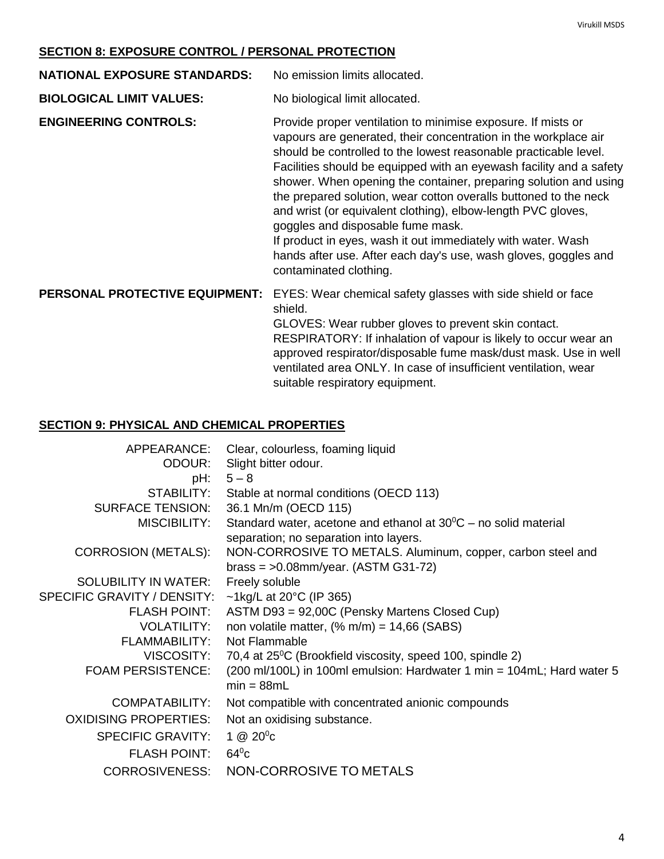### **SECTION 8: EXPOSURE CONTROL / PERSONAL PROTECTION**

**NATIONAL EXPOSURE STANDARDS:** No emission limits allocated.

**BIOLOGICAL LIMIT VALUES:** No biological limit allocated.

**ENGINEERING CONTROLS:** Provide proper ventilation to minimise exposure. If mists or vapours are generated, their concentration in the workplace air should be controlled to the lowest reasonable practicable level. Facilities should be equipped with an eyewash facility and a safety shower. When opening the container, preparing solution and using the prepared solution, wear cotton overalls buttoned to the neck and wrist (or equivalent clothing), elbow-length PVC gloves, goggles and disposable fume mask. If product in eyes, wash it out immediately with water. Wash

hands after use. After each day's use, wash gloves, goggles and contaminated clothing.

#### **PERSONAL PROTECTIVE EQUIPMENT:** EYES: Wear chemical safety glasses with side shield or face shield.

GLOVES: Wear rubber gloves to prevent skin contact. RESPIRATORY: If inhalation of vapour is likely to occur wear an approved respirator/disposable fume mask/dust mask. Use in well ventilated area ONLY. In case of insufficient ventilation, wear suitable respiratory equipment.

### **SECTION 9: PHYSICAL AND CHEMICAL PROPERTIES**

| APPEARANCE:                  | Clear, colourless, foaming liquid                                                                                   |
|------------------------------|---------------------------------------------------------------------------------------------------------------------|
| ODOUR:                       | Slight bitter odour.                                                                                                |
| pH:                          | $5 - 8$                                                                                                             |
| STABILITY:                   | Stable at normal conditions (OECD 113)                                                                              |
| <b>SURFACE TENSION:</b>      | 36.1 Mn/m (OECD 115)                                                                                                |
| MISCIBILITY:                 | Standard water, acetone and ethanol at $30^{\circ}$ C – no solid material<br>separation; no separation into layers. |
| <b>CORROSION (METALS):</b>   | NON-CORROSIVE TO METALS. Aluminum, copper, carbon steel and<br>brass = $>0.08$ mm/year. (ASTM G31-72)               |
| <b>SOLUBILITY IN WATER:</b>  | Freely soluble                                                                                                      |
| SPECIFIC GRAVITY / DENSITY:  | ~1kg/L at 20 $^{\circ}$ C (IP 365)                                                                                  |
| <b>FLASH POINT:</b>          | ASTM D93 = 92,00C (Pensky Martens Closed Cup)                                                                       |
| <b>VOLATILITY:</b>           | non volatile matter, $(\% m/m) = 14,66$ (SABS)                                                                      |
| <b>FLAMMABILITY:</b>         | Not Flammable                                                                                                       |
| VISCOSITY:                   | 70,4 at 25 <sup>°</sup> C (Brookfield viscosity, speed 100, spindle 2)                                              |
| <b>FOAM PERSISTENCE:</b>     | (200 ml/100L) in 100ml emulsion: Hardwater 1 min = 104mL; Hard water 5<br>$min = 88mL$                              |
| COMPATABILITY:               | Not compatible with concentrated anionic compounds                                                                  |
| <b>OXIDISING PROPERTIES:</b> | Not an oxidising substance.                                                                                         |
| <b>SPECIFIC GRAVITY:</b>     | $1 \ @ 20^0C$                                                                                                       |
| <b>FLASH POINT:</b>          | $64^{\circ}$ c                                                                                                      |
| <b>CORROSIVENESS:</b>        | NON-CORROSIVE TO METALS                                                                                             |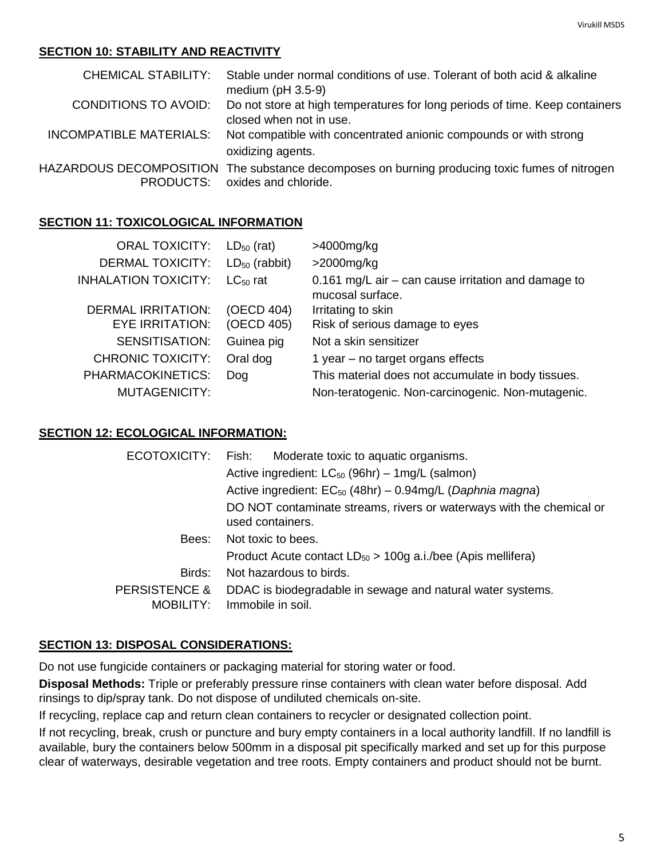### **SECTION 10: STABILITY AND REACTIVITY**

|                             | CHEMICAL STABILITY: Stable under normal conditions of use. Tolerant of both acid & alkaline<br>medium ( $pH$ 3.5-9)   |
|-----------------------------|-----------------------------------------------------------------------------------------------------------------------|
| <b>CONDITIONS TO AVOID:</b> | Do not store at high temperatures for long periods of time. Keep containers<br>closed when not in use.                |
|                             | INCOMPATIBLE MATERIALS: Not compatible with concentrated anionic compounds or with strong<br>oxidizing agents.        |
| PRODUCTS:                   | HAZARDOUS DECOMPOSITION The substance decomposes on burning producing toxic fumes of nitrogen<br>oxides and chloride. |

### **SECTION 11: TOXICOLOGICAL INFORMATION**

| <b>ORAL TOXICITY:</b>       | $LD_{50}$ (rat)    | >4000mg/kg                                                                |
|-----------------------------|--------------------|---------------------------------------------------------------------------|
| <b>DERMAL TOXICITY:</b>     | $LD_{50}$ (rabbit) | $>$ 2000mg/kg                                                             |
| <b>INHALATION TOXICITY:</b> | $LC_{50}$ rat      | 0.161 mg/L air $-$ can cause irritation and damage to<br>mucosal surface. |
| <b>DERMAL IRRITATION:</b>   | (OECD 404)         | Irritating to skin                                                        |
| <b>EYE IRRITATION:</b>      | (OECD 405)         | Risk of serious damage to eyes                                            |
| <b>SENSITISATION:</b>       | Guinea pig         | Not a skin sensitizer                                                     |
| <b>CHRONIC TOXICITY:</b>    | Oral dog           | 1 year $-$ no target organs effects                                       |
| PHARMACOKINETICS:           | Dog                | This material does not accumulate in body tissues.                        |
| <b>MUTAGENICITY:</b>        |                    | Non-teratogenic. Non-carcinogenic. Non-mutagenic.                         |

### **SECTION 12: ECOLOGICAL INFORMATION:**

| ECOTOXICITY:             | Fish:<br>Moderate toxic to aquatic organisms.                                            |  |  |
|--------------------------|------------------------------------------------------------------------------------------|--|--|
|                          | Active ingredient: LC <sub>50</sub> (96hr) – 1mg/L (salmon)                              |  |  |
|                          | Active ingredient: $EC_{50}$ (48hr) – 0.94mg/L (Daphnia magna)                           |  |  |
|                          | DO NOT contaminate streams, rivers or waterways with the chemical or<br>used containers. |  |  |
| Bees:                    | Not toxic to bees.                                                                       |  |  |
|                          | Product Acute contact $LD_{50} > 100g$ a.i./bee (Apis mellifera)                         |  |  |
| Birds:                   | Not hazardous to birds.                                                                  |  |  |
| <b>PERSISTENCE &amp;</b> | DDAC is biodegradable in sewage and natural water systems.                               |  |  |
| MOBILITY:                | Immobile in soil.                                                                        |  |  |

### **SECTION 13: DISPOSAL CONSIDERATIONS:**

Do not use fungicide containers or packaging material for storing water or food.

**Disposal Methods:** Triple or preferably pressure rinse containers with clean water before disposal. Add rinsings to dip/spray tank. Do not dispose of undiluted chemicals on-site.

If recycling, replace cap and return clean containers to recycler or designated collection point.

If not recycling, break, crush or puncture and bury empty containers in a local authority landfill. If no landfill is available, bury the containers below 500mm in a disposal pit specifically marked and set up for this purpose clear of waterways, desirable vegetation and tree roots. Empty containers and product should not be burnt.